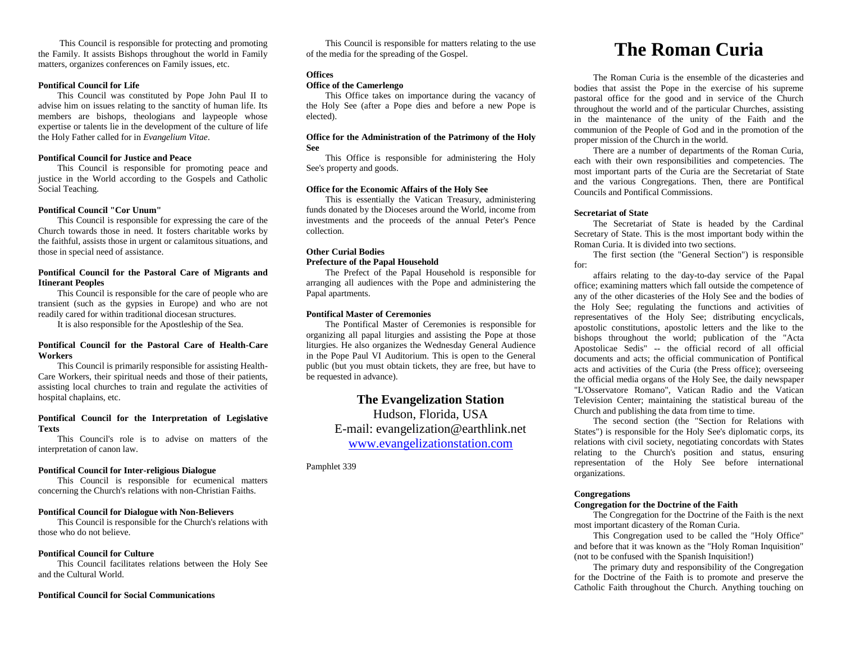This Council is responsible for protecting and promoting the Family. It assists Bishops throughout the world in Family matters, organizes conferences on Family issues, etc.

#### **Pontifical Council for Life**

This Council was constituted by Pope John Paul II to advise him on issues relating to the sanctity of human life. Its members are bishops, theologians and laypeople whose expertise or talents lie in the development of the culture of life the Holy Father called for in *Evangelium Vitae*.

# **Pontifical Council for Justice and Peace**

This Council is responsible for promoting peace and justice in the World according to the Gospels and Catholic Social Teaching.

### **Pontifical Council "Cor Unum"**

This Council is responsible for expressing the care of the Church towards those in need. It fosters charitable works by the faithful, assists those in urgent or calamitous situations, and those in special need of assistance.

# **Pontifical Council for the Pastoral Care of Migrants and Itinerant Peoples**

This Council is responsible for the care of people who are transient (such as the gypsies in Europe) and who are not readily cared for within traditional diocesan structures.

It is also responsible for the Apostleship of the Sea.

# **Pontifical Council for the Pastoral Care of Health-Care Workers**

This Council is primarily responsible for assisting Health-Care Workers, their spiritual needs and those of their patients, assisting local churches to train and regulate the activities of hospital chaplains, etc.

# **Pontifical Council for the Interpretation of Legislative Texts**

This Council's role is to advise on matters of the interpretation of canon law.

# **Pontifical Council for Inter-religious Dialogue**

This Council is responsible for ecumenical matters concerning the Church's relations with non-Christian Faiths.

#### **Pontifical Council for Dialogue with Non-Believers**

This Council is responsible for the Church's relations with those who do not believe.

#### **Pontifical Council for Culture**

This Council facilitates relations between the Holy See and the Cultural World.

## **Pontifical Council for Social Communications**

This Council is responsible for matters relating to the use of the media for the spreading of the Gospel.

# **Offices**

## **Office of the Camerlengo**

This Office takes on importance during the vacancy of the Holy See (after a Pope dies and before a new Pope is elected).

# **Office for the Administration of the Patrimony of the Holy See**

This Office is responsible for administering the Holy See's property and goods.

# **Office for the Economic Affairs of the Holy See**

This is essentially the Vatican Treasury, administering funds donated by the Dioceses around the World, income from investments and the proceeds of the annual Peter's Pence collection.

# **Other Curial Bodies Prefecture of the Papal Household**

The Prefect of the Papal Household is responsible for arranging all audiences with the Pope and administering the Papal apartments.

#### **Pontifical Master of Ceremonies**

The Pontifical Master of Ceremonies is responsible for organizing all papal liturgies and assisting the Pope at those liturgies. He also organizes the Wednesday General Audience in the Pope Paul VI Auditorium. This is open to the General public (but you must obtain tickets, they are free, but have to be requested in advance).

# **The Evangelization Station**

Hudson, Florida, USA E-mail: evangelization@earthlink.net [www.evangelizationstation.com](http://www.pjpiisoe.org/)

Pamphlet 339

# **The Roman Curia**

The Roman Curia is the ensemble of the dicasteries and bodies that assist the Pope in the exercise of his supreme pastoral office for the good and in service of the Church throughout the world and of the particular Churches, assisting in the maintenance of the unity of the Faith and the communion of the People of God and in the promotion of the proper mission of the Church in the world.

There are a number of departments of the Roman Curia, each with their own responsibilities and competencies. The most important parts of the Curia are the Secretariat of State and the various Congregations. Then, there are Pontifical Councils and Pontifical Commissions.

## **Secretariat of State**

The Secretariat of State is headed by the Cardinal Secretary of State. This is the most important body within the Roman Curia. It is divided into two sections.

The first section (the "General Section") is responsible for:

affairs relating to the day-to-day service of the Papal office; examining matters which fall outside the competence of any of the other dicasteries of the Holy See and the bodies of the Holy See; regulating the functions and activities of representatives of the Holy See; distributing encyclicals, apostolic constitutions, apostolic letters and the like to the bishops throughout the world; publication of the "Acta Apostolicae Sedis" -- the official record of all official documents and acts; the official communication of Pontifical acts and activities of the Curia (the Press office); overseeing the official media organs of the Holy See, the daily newspaper "L'Osservatore Romano", Vatican Radio and the Vatican Television Center; maintaining the statistical bureau of the Church and publishing the data from time to time.

The second section (the "Section for Relations with States") is responsible for the Holy See's diplomatic corps, its relations with civil society, negotiating concordats with States relating to the Church's position and status, ensuring representation of the Holy See before international organizations.

# **Congregations**

# **Congregation for the Doctrine of the Faith**

The Congregation for the Doctrine of the Faith is the next most important dicastery of the Roman Curia.

This Congregation used to be called the "Holy Office" and before that it was known as the "Holy Roman Inquisition" (not to be confused with the Spanish Inquisition!)

The primary duty and responsibility of the Congregation for the Doctrine of the Faith is to promote and preserve the Catholic Faith throughout the Church. Anything touching on